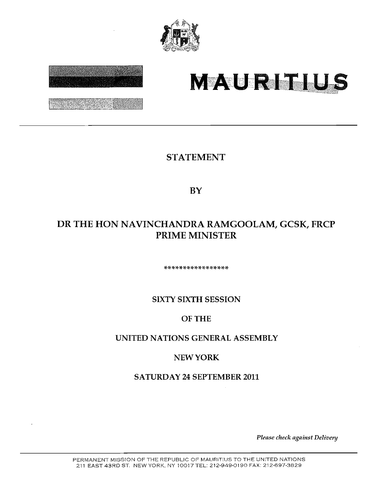





# **STATEMENT**

**BY**

# **DR THE HON** NAVINCHANDRA **RAMGOOLAM, GCSK, FRCP PRIME MINISTER**

**\*\*\*\*\*\*\*\*\*\*\*\*\*\*\*\*\***

**SIXTY SIXTH SESSION**

## OF THE

## **UNITED NATIONS GENERAL ASSEMBLY**

## NEW YORK

## **SATURDAY 24 SEPTEMBER 2011**

*Please check against Delivery*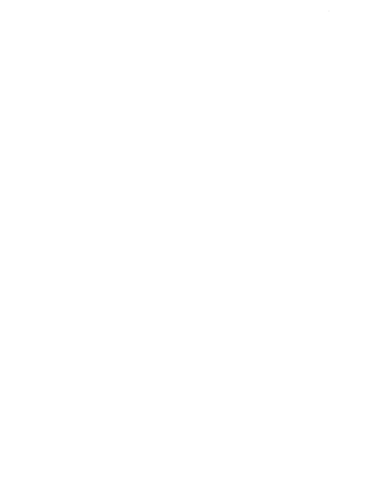$\mathcal{L}^{\text{max}}_{\text{max}}$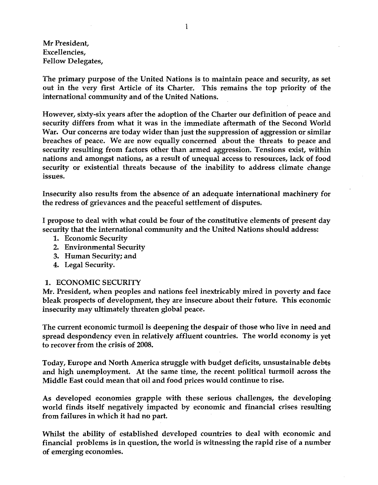Mr President, Excellencies, Fellow Delegates,

The primary purpose of the United Nations is to maintain peace and security, as set out in the very first Article of its Charter. This remains the top priority of the international community and of the United Nations.

However, sixty-six years after the adoption of the Charter our definition of peace and security differs from what it was in the immediate aftermath of the Second World War. Our concerns are today wider than just the suppression of aggression or similar breaches of peace. We are now equally concerned about the threats to peace and security resulting from factors other than armed aggression. Tensions exist, within nations and amongst nations, as a result of unequal access to resources, lack of food security or existential threats because of the inability to address climate change issues.

Insecurity also results from the absence of an adequate international machinery for the redress of grievances and the peaceful settlement of disputes.

I propose to deal with what could be four of the constitutive elements of present day security that the international community and the United Nations should address:

- 1. Economic Security
- 2. Environmental Security
- 3. Human Security; and
- 4. Legal Security.

## 1. ECONOMIC SECURITY

Mr. President, when peoples and nations feel inextricably mired in poverty and face bleak prospects of development, they are insecure about their future. This economic insecurity may ultimately threaten global peace.

The current economic turmoil is deepening the despair of those who live in need and spread despondency even in relatively affluent countries. The world economy is yet to recover from the crisis of 2008.

Today, Europe and North America struggle with budget deficits, unsustainable debts and high unemployment. At the same time, the recent political turmoil across the Middle East could mean that oil and food prices would continue to rise.

As developed economies grapple with these serious challenges, the developing world finds itself negatively impacted by economic and financial crises resulting from failures in which it had no part.

Whilst the ability of established developed countries to deal with economic and financial problems is in question, the world is witnessing the rapid rise of a number of emerging economies.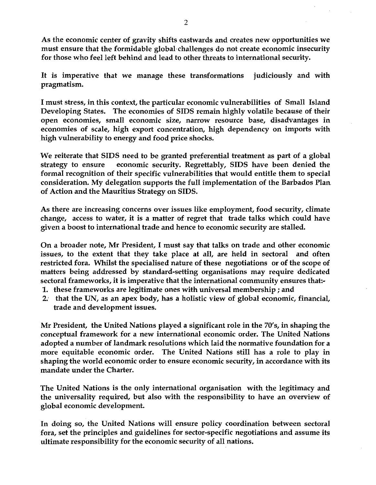As the economic center of gravity shifts eastwards and creates new opportunities we must ensure that the formidable global-challenges do not create economic insecurity for those who feel left behind and lead to other threats to international security.

It is imperative that we manage these transformations judiciously and with pragmatism.

I must stress, in this context, the particular economic vulnerabilities of Small Island Developing States. The economies of SIDS remain highly volatile because of their open economies, small economic size, narrow resource base, disadvantages in economies of scale, high export concentration, high dependency on imports with high vulnerability to energy and food price shocks.

We reiterate that SIDS need to be granted preferential treatment as part of a global strategy to ensure economic security. Regrettably, SIDS have been denied the formal recognition of their specific vulnerabilities that would entitle them to special consideration. My delegation supports the full implementation of the Barbados Plan of Action and the Mauritius Strategy on SIDS.

As there are increasing concerns over issues like employment, food security, climate change, access to water, it is a matter of regret that trade talks which could have given a boost to international trade and hence to economic security are stalled.

On a broader note, Mr President, I must say that talks on trade and other economic issues, to the extent that they take place at all, are held in sectoral and often restricted fora. Whilst the specialised nature of these negotiations or of the scope of matters being addressed by standard-setting organisations may require dedicated sectoral frameworks, it is imperative that the international community ensures that:-

- 1. these frameworks are legitimate ones with universal membership; and
- 2: that the UN, as an apex body, has a holistic view of global economic, financial, trade and development issues.

Mr President, the United Nations played a significant role in the 70's, in shaping the conceptual framework for a new international economic order. The United Nations adopted a number of landmark resolutions which laid the normative foundation for a more equitable economic order. The United Nations still has a role to play in shaping the world economic order to ensure economic security, in accordance with its mandate under the Charter.

The United Nations is the only international organisation with the legitimacy and the universality required, but also with the responsibility to have an overview of global economic development.

In doing so, the United Nations will ensure policy coordination between sectoral fora, set the principles and guidelines for sector-specific negotiations and assume its ultimate responsibility for the economic security of all nations.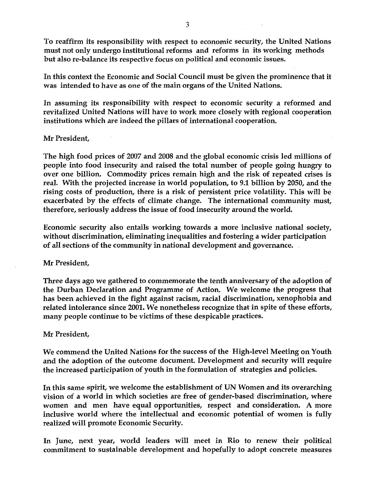To reaffirm its responsibility with respect to economic security, the United Nations must not only undergo institutional reforms and reforms in its working methods but also re-balance its respective focus on political and economic issues.

In this context the Economic and Social Council must be given the prominence that it was intended to have as one of the main organs of the United Nations.

In assuming its responsibility with respect to economic security a reformed and revitalized United Nations will have to work more closely with regional cooperation institutions which are indeed the pillars of international cooperation.

#### Mr President,

The high food prices of 2007 and 2008 and the global economic crisis led millions of people into food insecurity and raised the total number of people going hungry to over one billion. Commodity prices remain high and the risk of repeated crises is real. With the projected increase in world population, to 9.1 billion by 2050, and the rising costs of production, there is a risk of persistent price volatility. This will be exacerbated by the effects of climate change. The international community must, therefore, seriously address the issue of food insecurity around the world.

Economic security also entails working towards a more inclusive national society, without discrimination, eliminating inequalities and fostering a wider participation of all sections of the community in national development and governance.

#### Mr President,

Three days ago we gathered to commemorate the tenth anniversary of the adoption of the Durban Declaration and Programme of Action. We welcome the progress that has been achieved in the fight against racism, racial discrimination, xenophobia and related intolerance since 2001. We nonetheless recognize that in spite of these efforts, many people continue to be victims of these despicable practices.

#### Mr President,

We commend the United Nations for the success of the High-level Meeting on Youth and the adoption of the outcome document. Development and security will require the increased participation of youth in the formulation of strategies and policies.

In this same spirit, we welcome the establishment of UN Women and its overarching vision of a world in which societies are free of gender-based discrimination, where women and men have equal opportunities, respect and consideration. A more inclusive world where the intellectual and economic potential of women is fully realized will promote Economic Security.

In June, next year, world leaders will meet in Rio to renew their political commitment to sustainable development and hopefully to adopt concrete measures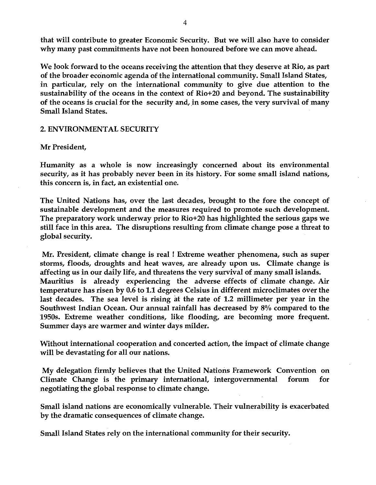that will contribute to greater Economic Security. But we will also have to consider why many past commitments have not been honoured before we can move ahead.

We look forward to the oceans receiving the attention that they deserve at Rio, as part of the broader economic agenda of the international community. Small Island States, in particular, rely on the international community to give due attention to the sustainability of the oceans in the context of Rio+20 and beyond. The sustainability of the oceans is crucial for the security and, in some cases, the very survival of many Small Island States.

#### 2. ENVIRONMENTAL SECURITY

Mr President,

Humanity as a whole is now increasingly concerned about its environmental security, as it has probably never been in its history. For some small island nations, this concern is, in fact, an existential one. '

The United Nations has, over the last decades, brought to the fore the concept of sustainable development and the measures required to promote such development. The preparatory work underway prior to Rio+20 has highlighted the serious gaps we still face in this area. The disruptions resulting from climate change pose a threat to global security.

Mr. President, climate change is real ! Extreme weather phenomena, such as super storms, floods, droughts and heat waves, are already upon us. Climate change is affecting us in our daily life, and threatens the very survival of many small islands. Mauritius is already experiencing the adverse effects of climate change. Air temperature has risen by 0.6 to 1.1 degrees Celsius in different microclimates over the last decades. The sea level is rising at the rate of 1.2 millimeter per year in the Southwest Indian Ocean. Our annual rainfall has decreased by 8% compared to the 1950s. Extreme weather conditions, like flooding, are becoming more frequent. Summer days are warmer and winter days milder.

Without international cooperation and concerted action, the impact of climate change will be devastating for all our nations.

My delegation firmly believes that the United Nations Framework Convention on Climate Change is the primary international, intergovernmental forum for negotiating the global response to climate change.

Small island nations are economically vulnerable. Their vulnerability is exacerbated by the dramatic consequences of climate change.

Small Island States rely on the international community for their security.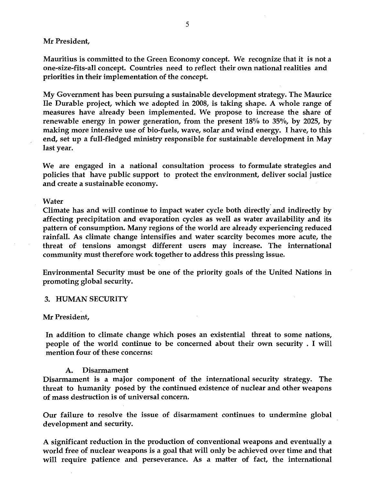#### Mr President,

Mauritius is committed to the Green Economy concept. We recognize that it is not a one-size-fits-all concept. Countries need to reflect their own national realities and priorities in their implementation of the concept.

My Government has been pursuing a sustainable development strategy. The Maurice Ile Durable project, which we adopted in 2008, is taking shape. A whole range of measures have already been implemented. We propose to increase the share of renewable energy in power generation, from the present 18% to 35%, by 2025, by making more intensive use of bio-fuels, wave, solar and wind energy. I have, to this end, set up a full-fledged ministry responsible for sustainable development in May last year.

We are engaged in a national consultation process to formulate strategies and policies that have public support to protect the environment, deliver social justice and create a sustainable economy.

#### Water

Climate has and will continue to impact water cycle both directly and indirectly by affecting precipitation and evaporation cycles as well as water availability and its pattern of consumption. Many regions of the world are already experiencing reduced rainfall. As climate change intensifies and water scarcity becomes more acute, the threat of tensions amongst different users may increase. The international community must therefore work together to address this pressing issue.

Environmental Security must be one of the priority goals of the United Nations in promoting global security.

#### 3. HUMAN SECURITY

#### Mr President,

In addition to climate change which poses an existential threat to some nations, people of the world continue to be concerned about their own security . I will mention four of these concerns:

#### A. Disarmament

Disarmament is a major component of the international security strategy. The threat to humanity posed by the continued existence of nuclear and other weapons of mass destruction is of universal concern.

Our failure to resolve the issue of disarmament continues to undermine global development and security.

A significant reduction in the production of conventional weapons and eventually a world free of nuclear weapons is a goal that will only be achieved over time and that will require patience and perseverance. As a matter of fact, the international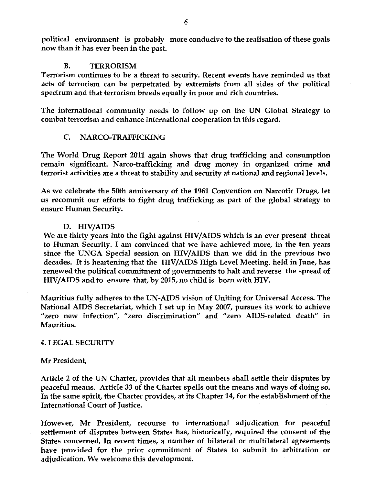political environment is probably more conducive to the realisation of these goals now than it has ever been in the past.

#### B. TERRORISM

Terrorism continues to be a threat to security. Recent events have reminded us that acts of terrorism can be perpetrated by extremists from all sides of the political spectrum and that terrorism breeds equally in poor and rich countries.

The international community needs to follow up on the UN Global Strategy to combat terrorism and enhance international cooperation in this regard.

#### C. NARCO-TRAFFICKING

The World Drug Report 2011 again shows that drug trafficking and consumption remain significant. Narco-trafficking and drug money in organized crime and terrorist activities are a threat to stability and security at national and regional levels.

As we celebrate the 50th anniversary of the 1961 Convention on Narcotic Drugs, let us recommit our efforts to fight drug trafficking as part of the global strategy to ensure Human Security.

#### D. HIV/AIDS

We are thirty years into the fight against HIV/AIDS which is an ever present threat to Human Security. I am convinced that we have achieved more, in the ten years since the UNGA Special session on HIV/AIDS than we did in the previous two decades. It is heartening that the HIV/AIDS High Level Meeting, held in June, has renewed the political commitment of governments to halt and reverse the spread of HIV/AIDS and to ensure that, by 2015, no child is born with HIV.

Mauritius fully adheres to the UN-AIDS vision of Uniting for Universal Access. The National AIDS Secretariat, which I set up in May 2007, pursues its work to achieve "zero new infection", "zero discrimination" and "zero AIDS-related death" in Mauritius.

#### 4. LEGAL SECURITY

#### Mr President,

Article 2 of the UN Charter, provides that all members shall settle their disputes by peaceful means. Article 33 of the Charter spells out the means and ways of doing so. In the same spirit, the Charter provides, at its Chapter 14, for the establishment of the International Court of Justice.

However, Mr President, recourse to international adjudication for peaceful settlement of disputes between States has, historically, required the consent of the States concerned. In recent times, a number of bilateral or multilateral agreements have provided for the prior commitment of States to submit to arbitration or adjudication. We welcome this development.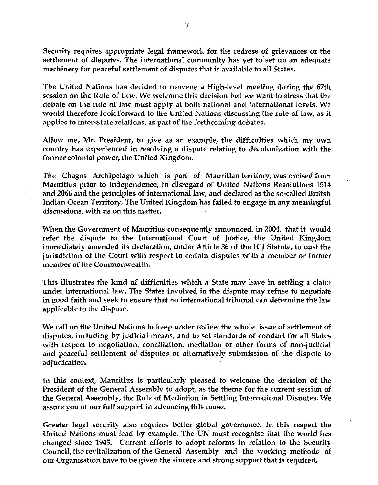Security requires appropriate legal framework for the redress of grievances or the settlement of disputes. The international community has yet to set up an adequate machinery for peaceful settlement of disputes that is available to all States.

The United Nations has decided to convene a High-level meeting during the 67th session on the Rule of Law. We welcome this decision but we want to stress that the debate on the rule of law must apply at both national and international levels. We would therefore look forward to the United Nations discussing the rule of law, as it applies to inter-State relations, as part of the forthcoming debates.

Allow me, Mr. President, to give as an example, the difficulties which my own country has experienced in resolving a dispute relating to decolonization with the former colonial power, the United Kingdom.

The Chagos Archipelago which is part of Mauritian territory, was excised from Mauritius prior to independence, in disregard of United Nations Resolutions 1514 and 2066 and the principles of international law, and declared as the so-called British Indian Ocean Territory. The United Kingdom has failed to engage in any meaningful discussions, with us on this matter.

When the Government of Mauritius consequently announced, in 2004, that it would refer the dispute to the International Court of Justice, the United Kingdom immediately amended its declaration, under Article 36 of the ICJ Statute, to oust the jurisdiction of the Court with respect to certain disputes with a member or former member of the Commonwealth.

This illustrates the kind of difficulties which a State may have in settling a claim under international law. The States involved in the dispute may refuse to negotiate in good faith and seek to ensure that no international tribunal can determine the law applicable to the dispute.

We call on the United Nations to keep under review the whole issue of settlement of disputes, including by judicial means, and to set standards of conduct for all States with respect to negotiation, conciliation, mediation or other forms of non-judicial and peaceful settlement of disputes or alternatively submission of the dispute to adjudication.

In this context, Mauritius is particularly pleased to welcome the decision of the President of the General Assembly to adopt, as the theme for the current session of the General Assembly, the Role of Mediation in Settling International Disputes. We assure you of our full support in advancing this cause.

Greater legal security also requires better global governance. In this respect the United Nations must lead by example. The UN must recognise that the world has changed since 1945. Current efforts to adopt reforms in relation to the Security Council, the revitalization of the General Assembly and the working methods of our Organisation have to be given the sincere and strong support that is required.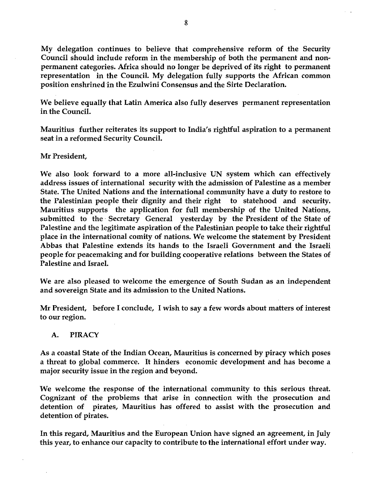My delegation continues to believe that comprehensive reform of the Security Council should include reform in the membership of both the permanent and nonpermanent categories. Mrica should no longer be deprived of its right to permanent representation in the Council. My delegation fully supports the African common position enshrined in the Ezulwini Consensus and the Sirte Declaration.

We believe equally that Latin America also fully deserves permanent representation in the Council.

Mauritius further reiterates its support to India's rightful aspiration to a permanent seat in a reformed Security Council.

Mr President,

We also look forward to a more all-inclusive UN system which can effectively address issues of international security with the admission of Palestine as a member State. The United Nations and the international community have a duty to restore to the Palestinian people their dignity and their right to statehood and security. Mauritius supports the application for full membership of the United Nations, submitted to the Secretary General yesterday by the President of the State of Palestine and the legitimate aspiration of the Palestinian people to take their rightful place in the international comity of nations. We welcome the statement by President Abbas that Palestine extends its hands to the Israeli Government and the Israeli people for peacemaking and for building cooperative relations between the States of Palestine and Israel.

We are also pleased to welcome the emergence of South Sudan as an independent and sovereign State and its admission to the United Nations.

Mr President, before I conclude, I wish to say a few words about matters of interest to our region.

#### A. PIRACY

As a coastal State of the Indian Ocean, Mauritius is concerned by piracy which poses a threat to global commerce. It hinders economic development and has become a major security issue in the region and beyond.

We welcome the response of the international community to this serious threat. Cognizant of the problems that arise in connection with the prosecution and detention of pirates, Mauritius has offered to assist with the prosecution and detention of pirates.

**In** this regard, Mauritius and the European Union have signed an agreement, in July this year, to enhance our capacity to contribute to the international effort under way.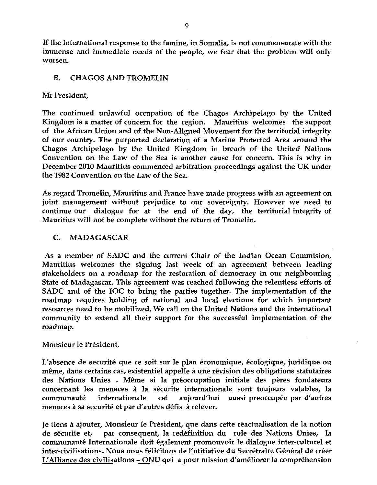If the international response to the famine, in Somalia, is not commensurate with the immense and immediate needs of the people, we fear that the problem will only worsen.

## B. CHAGOS AND TROMELIN

## Mr President,

The continued unlawful occupation of the Chagos Archipelago by the United Kingdom is a matter of concern for the region. Mauritius welcomes the support of the African Union and of the Non-Aligned Movement for the territorial integrity of our country. The purported declaration of a Marine Protected Area around the Chagos Archipelago by the United Kingdom in breach of the United Nations Convention on the Law of the Sea is another cause for concern. This is why in December 2010 Mauritius commenced arbitration proceedings against the UK under the 1982 Convention on the Law of the Sea.

As regard Tromelin, Mauritius and France have made progress with an agreement on joint management without prejudice to our sovereignty. However we need to continue our dialogue for at the end of the day, the territorial integrity of Mauritius will not be complete without the return of Tromelin.

## C. MADAGASCAR

As a member of SADC and the current Chair of the Indian Ocean Commision, Mauritius welcomes the signing last week of an agreement between leading stakeholders on a roadmap for the restoration of democracy in our neighbouring State of Madagascar. This agreement was reached following the relentless efforts of SADC and of the IOC to bring the parties together. The implementation of the roadmap requires holding of national and local elections for which important resources need to be mobilized. We call on the United Nations and the international community to extend all their support for the successful implementation of the roadmap.

## Monsieur Ie President,

L'absence de securité que ce soit sur le plan économique, écologique, juridique ou même, dans certains cas, existentiel appelle à une révision des obligations statutaires des Nations Unies . Même si la préoccupation initiale des pères fondateurs concernant les menaces à la sécurite internationale sont toujours valables, la communaute internationale est aujourd'hui aussi preoccupee par d'autres menaces à sa securité et par d'autres défis à relever.

Je tiens à ajouter, Monsieur le Président, que dans cette réactualisation de la notion de sécurite et, par consequent, la redéfinition du role des Nations Unies, la communaute Internationale doit egalement promouvoir Ie dialogue inter-culturel et inter-civilisations. Nous nous félicitons de l'ntitiative du Secrétraire Général de créer L'Alliance des civilisations – ONU qui a pour mission d'améliorer la compréhension